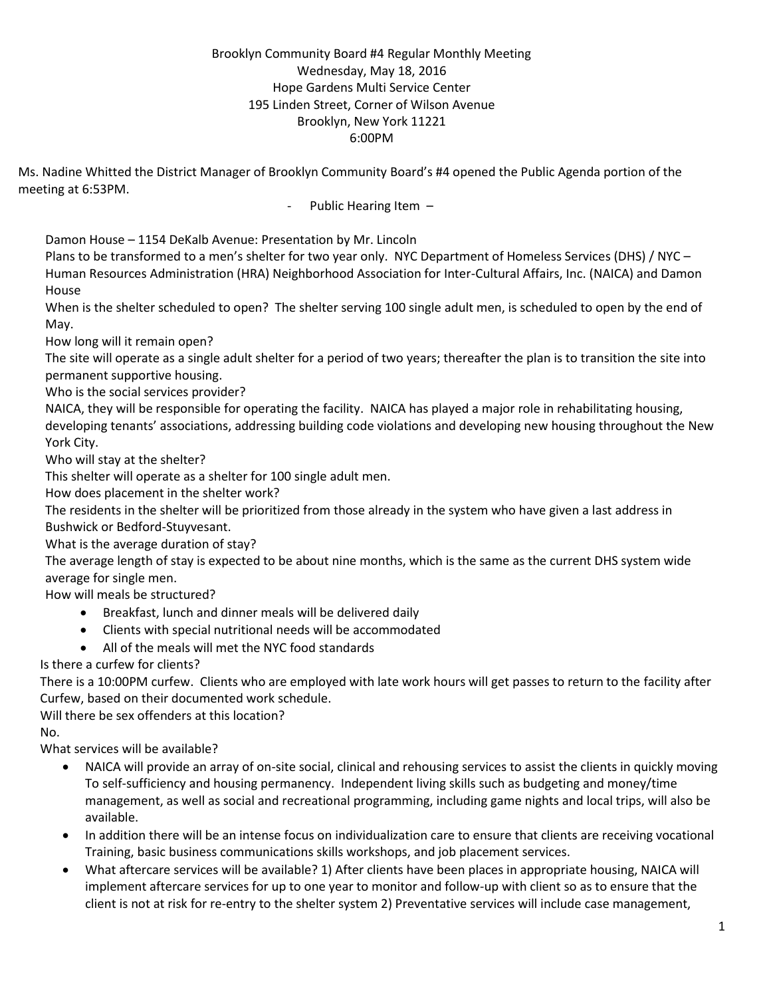## Brooklyn Community Board #4 Regular Monthly Meeting Wednesday, May 18, 2016 Hope Gardens Multi Service Center 195 Linden Street, Corner of Wilson Avenue Brooklyn, New York 11221 6:00PM

Ms. Nadine Whitted the District Manager of Brooklyn Community Board's #4 opened the Public Agenda portion of the meeting at 6:53PM.

## Public Hearing Item -

Damon House – 1154 DeKalb Avenue: Presentation by Mr. Lincoln

Plans to be transformed to a men's shelter for two year only. NYC Department of Homeless Services (DHS) / NYC – Human Resources Administration (HRA) Neighborhood Association for Inter-Cultural Affairs, Inc. (NAICA) and Damon House

When is the shelter scheduled to open? The shelter serving 100 single adult men, is scheduled to open by the end of May.

How long will it remain open?

The site will operate as a single adult shelter for a period of two years; thereafter the plan is to transition the site into permanent supportive housing.

Who is the social services provider?

NAICA, they will be responsible for operating the facility. NAICA has played a major role in rehabilitating housing, developing tenants' associations, addressing building code violations and developing new housing throughout the New York City.

Who will stay at the shelter?

This shelter will operate as a shelter for 100 single adult men.

How does placement in the shelter work?

The residents in the shelter will be prioritized from those already in the system who have given a last address in Bushwick or Bedford-Stuyvesant.

What is the average duration of stay?

The average length of stay is expected to be about nine months, which is the same as the current DHS system wide average for single men.

How will meals be structured?

- Breakfast, lunch and dinner meals will be delivered daily
- Clients with special nutritional needs will be accommodated
- All of the meals will met the NYC food standards

Is there a curfew for clients?

 There is a 10:00PM curfew. Clients who are employed with late work hours will get passes to return to the facility after Curfew, based on their documented work schedule.

Will there be sex offenders at this location?

No.

What services will be available?

- NAICA will provide an array of on-site social, clinical and rehousing services to assist the clients in quickly moving To self-sufficiency and housing permanency. Independent living skills such as budgeting and money/time management, as well as social and recreational programming, including game nights and local trips, will also be available.
- In addition there will be an intense focus on individualization care to ensure that clients are receiving vocational Training, basic business communications skills workshops, and job placement services.
- What aftercare services will be available? 1) After clients have been places in appropriate housing, NAICA will implement aftercare services for up to one year to monitor and follow-up with client so as to ensure that the client is not at risk for re-entry to the shelter system 2) Preventative services will include case management,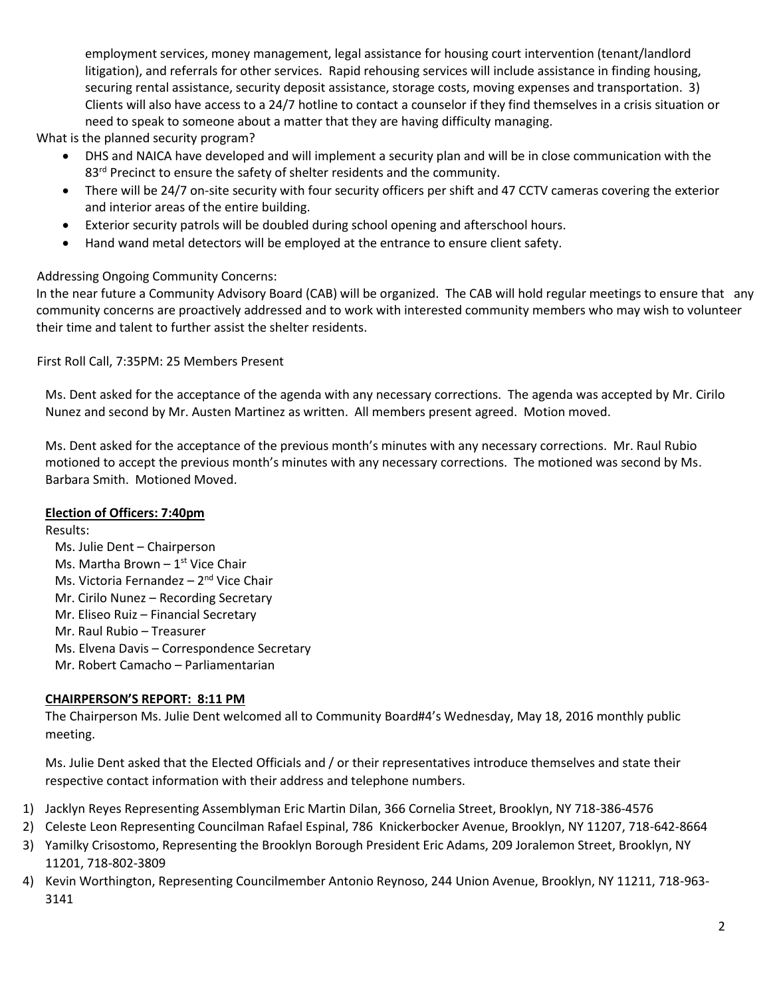employment services, money management, legal assistance for housing court intervention (tenant/landlord litigation), and referrals for other services. Rapid rehousing services will include assistance in finding housing, securing rental assistance, security deposit assistance, storage costs, moving expenses and transportation. 3) Clients will also have access to a 24/7 hotline to contact a counselor if they find themselves in a crisis situation or need to speak to someone about a matter that they are having difficulty managing.

What is the planned security program?

- DHS and NAICA have developed and will implement a security plan and will be in close communication with the 83<sup>rd</sup> Precinct to ensure the safety of shelter residents and the community.
- There will be 24/7 on-site security with four security officers per shift and 47 CCTV cameras covering the exterior and interior areas of the entire building.
- Exterior security patrols will be doubled during school opening and afterschool hours.
- Hand wand metal detectors will be employed at the entrance to ensure client safety.

# Addressing Ongoing Community Concerns:

In the near future a Community Advisory Board (CAB) will be organized. The CAB will hold regular meetings to ensure that any community concerns are proactively addressed and to work with interested community members who may wish to volunteer their time and talent to further assist the shelter residents.

First Roll Call, 7:35PM: 25 Members Present

Ms. Dent asked for the acceptance of the agenda with any necessary corrections. The agenda was accepted by Mr. Cirilo Nunez and second by Mr. Austen Martinez as written. All members present agreed. Motion moved.

Ms. Dent asked for the acceptance of the previous month's minutes with any necessary corrections. Mr. Raul Rubio motioned to accept the previous month's minutes with any necessary corrections. The motioned was second by Ms. Barbara Smith. Motioned Moved.

## **Election of Officers: 7:40pm**

Results:

 Ms. Julie Dent – Chairperson Ms. Martha Brown –  $1<sup>st</sup>$  Vice Chair Ms. Victoria Fernandez – 2<sup>nd</sup> Vice Chair Mr. Cirilo Nunez – Recording Secretary Mr. Eliseo Ruiz – Financial Secretary Mr. Raul Rubio – Treasurer Ms. Elvena Davis – Correspondence Secretary Mr. Robert Camacho – Parliamentarian

## **CHAIRPERSON'S REPORT: 8:11 PM**

The Chairperson Ms. Julie Dent welcomed all to Community Board#4's Wednesday, May 18, 2016 monthly public meeting.

Ms. Julie Dent asked that the Elected Officials and / or their representatives introduce themselves and state their respective contact information with their address and telephone numbers.

- 1) Jacklyn Reyes Representing Assemblyman Eric Martin Dilan, 366 Cornelia Street, Brooklyn, NY 718-386-4576
- 2) Celeste Leon Representing Councilman Rafael Espinal, 786 Knickerbocker Avenue, Brooklyn, NY 11207, 718-642-8664
- 3) Yamilky Crisostomo, Representing the Brooklyn Borough President Eric Adams, 209 Joralemon Street, Brooklyn, NY 11201, 718-802-3809
- 4) Kevin Worthington, Representing Councilmember Antonio Reynoso, 244 Union Avenue, Brooklyn, NY 11211, 718-963- 3141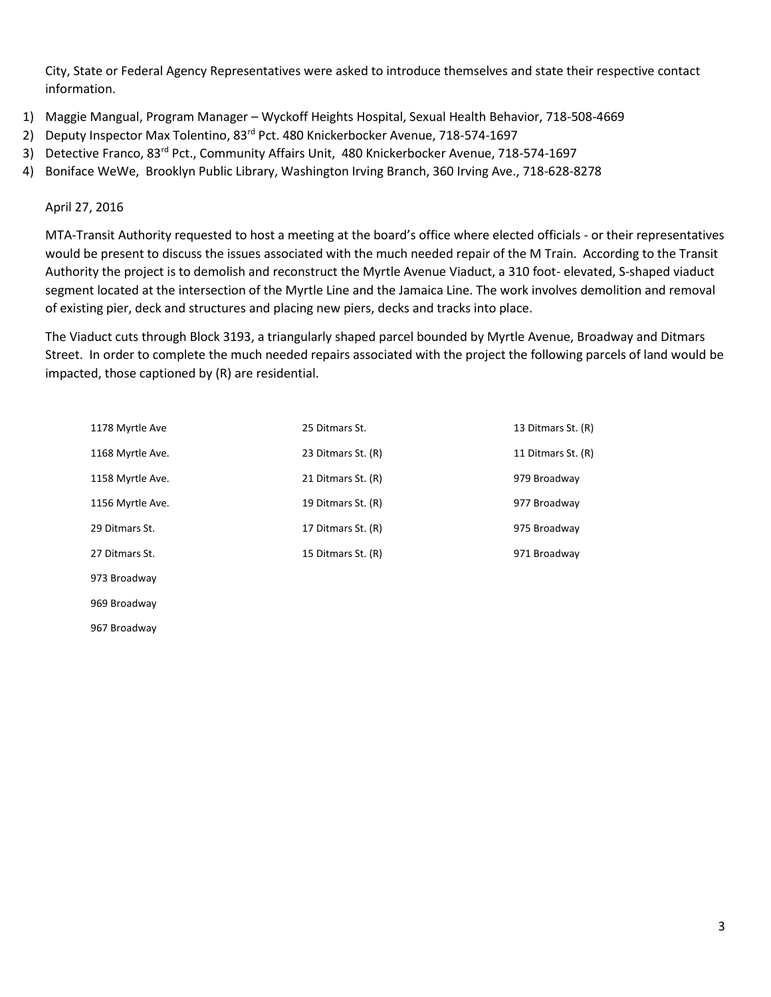City, State or Federal Agency Representatives were asked to introduce themselves and state their respective contact information.

- 1) Maggie Mangual, Program Manager Wyckoff Heights Hospital, Sexual Health Behavior, 718-508-4669
- 2) Deputy Inspector Max Tolentino, 83<sup>rd</sup> Pct. 480 Knickerbocker Avenue, 718-574-1697
- 3) Detective Franco, 83<sup>rd</sup> Pct., Community Affairs Unit, 480 Knickerbocker Avenue, 718-574-1697
- 4) Boniface WeWe, Brooklyn Public Library, Washington Irving Branch, 360 Irving Ave., 718-628-8278

April 27, 2016

969 Broadway 967 Broadway

MTA-Transit Authority requested to host a meeting at the board's office where elected officials - or their representatives would be present to discuss the issues associated with the much needed repair of the M Train. According to the Transit Authority the project is to demolish and reconstruct the Myrtle Avenue Viaduct, a 310 foot- elevated, S-shaped viaduct segment located at the intersection of the Myrtle Line and the Jamaica Line. The work involves demolition and removal of existing pier, deck and structures and placing new piers, decks and tracks into place.

The Viaduct cuts through Block 3193, a triangularly shaped parcel bounded by Myrtle Avenue, Broadway and Ditmars Street. In order to complete the much needed repairs associated with the project the following parcels of land would be impacted, those captioned by (R) are residential.

| 1178 Myrtle Ave  | 25 Ditmars St.     | 13 Ditmars St. (R) |
|------------------|--------------------|--------------------|
| 1168 Myrtle Ave. | 23 Ditmars St. (R) | 11 Ditmars St. (R) |
| 1158 Myrtle Ave. | 21 Ditmars St. (R) | 979 Broadway       |
| 1156 Myrtle Ave. | 19 Ditmars St. (R) | 977 Broadway       |
| 29 Ditmars St.   | 17 Ditmars St. (R) | 975 Broadway       |
| 27 Ditmars St.   | 15 Ditmars St. (R) | 971 Broadway       |
| 973 Broadway     |                    |                    |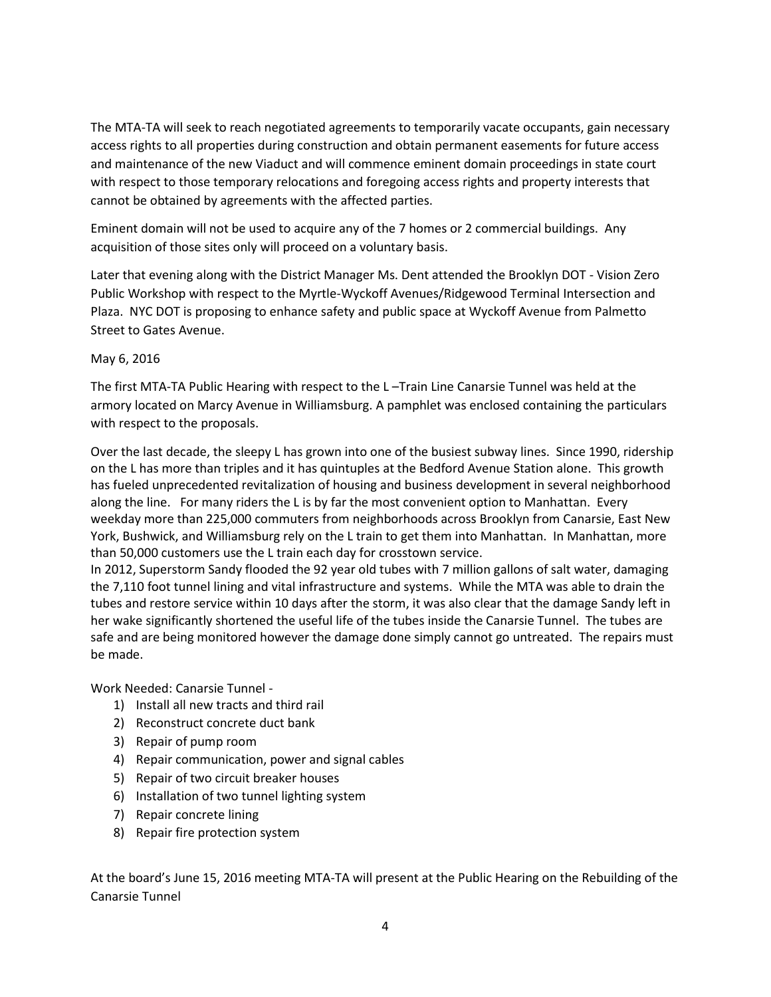The MTA-TA will seek to reach negotiated agreements to temporarily vacate occupants, gain necessary access rights to all properties during construction and obtain permanent easements for future access and maintenance of the new Viaduct and will commence eminent domain proceedings in state court with respect to those temporary relocations and foregoing access rights and property interests that cannot be obtained by agreements with the affected parties.

Eminent domain will not be used to acquire any of the 7 homes or 2 commercial buildings. Any acquisition of those sites only will proceed on a voluntary basis.

Later that evening along with the District Manager Ms. Dent attended the Brooklyn DOT - Vision Zero Public Workshop with respect to the Myrtle-Wyckoff Avenues/Ridgewood Terminal Intersection and Plaza. NYC DOT is proposing to enhance safety and public space at Wyckoff Avenue from Palmetto Street to Gates Avenue.

### May 6, 2016

The first MTA-TA Public Hearing with respect to the L –Train Line Canarsie Tunnel was held at the armory located on Marcy Avenue in Williamsburg. A pamphlet was enclosed containing the particulars with respect to the proposals.

Over the last decade, the sleepy L has grown into one of the busiest subway lines. Since 1990, ridership on the L has more than triples and it has quintuples at the Bedford Avenue Station alone. This growth has fueled unprecedented revitalization of housing and business development in several neighborhood along the line. For many riders the L is by far the most convenient option to Manhattan. Every weekday more than 225,000 commuters from neighborhoods across Brooklyn from Canarsie, East New York, Bushwick, and Williamsburg rely on the L train to get them into Manhattan. In Manhattan, more than 50,000 customers use the L train each day for crosstown service.

In 2012, Superstorm Sandy flooded the 92 year old tubes with 7 million gallons of salt water, damaging the 7,110 foot tunnel lining and vital infrastructure and systems. While the MTA was able to drain the tubes and restore service within 10 days after the storm, it was also clear that the damage Sandy left in her wake significantly shortened the useful life of the tubes inside the Canarsie Tunnel. The tubes are safe and are being monitored however the damage done simply cannot go untreated. The repairs must be made.

Work Needed: Canarsie Tunnel -

- 1) Install all new tracts and third rail
- 2) Reconstruct concrete duct bank
- 3) Repair of pump room
- 4) Repair communication, power and signal cables
- 5) Repair of two circuit breaker houses
- 6) Installation of two tunnel lighting system
- 7) Repair concrete lining
- 8) Repair fire protection system

At the board's June 15, 2016 meeting MTA-TA will present at the Public Hearing on the Rebuilding of the Canarsie Tunnel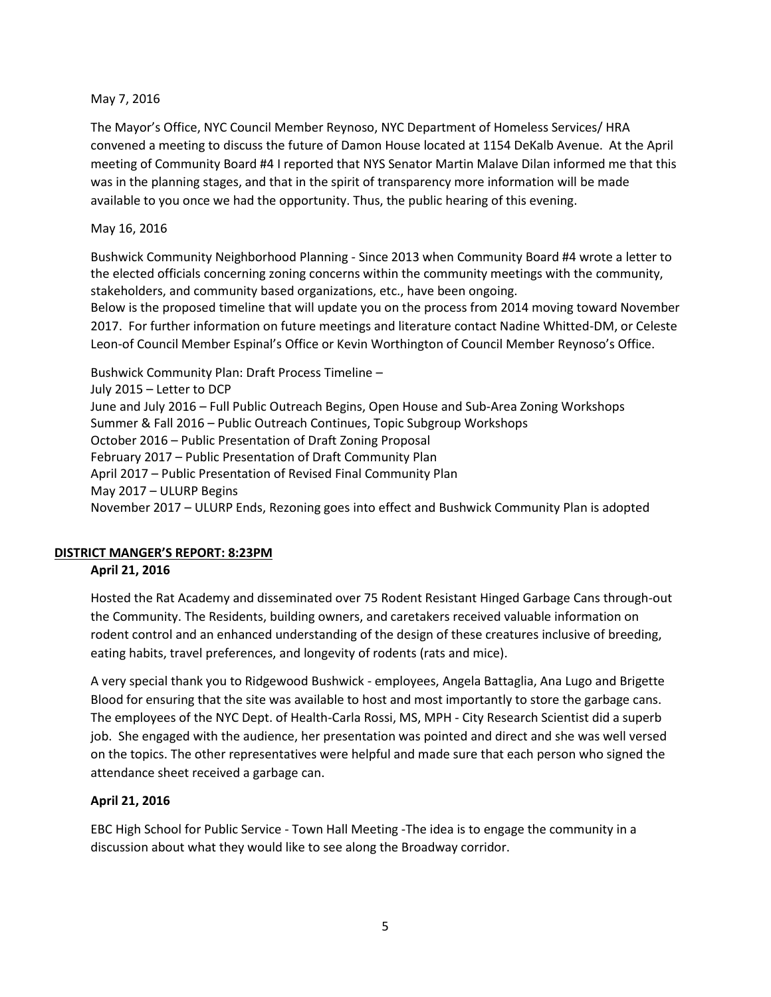#### May 7, 2016

The Mayor's Office, NYC Council Member Reynoso, NYC Department of Homeless Services/ HRA convened a meeting to discuss the future of Damon House located at 1154 DeKalb Avenue. At the April meeting of Community Board #4 I reported that NYS Senator Martin Malave Dilan informed me that this was in the planning stages, and that in the spirit of transparency more information will be made available to you once we had the opportunity. Thus, the public hearing of this evening.

### May 16, 2016

Bushwick Community Neighborhood Planning - Since 2013 when Community Board #4 wrote a letter to the elected officials concerning zoning concerns within the community meetings with the community, stakeholders, and community based organizations, etc., have been ongoing.

Below is the proposed timeline that will update you on the process from 2014 moving toward November 2017. For further information on future meetings and literature contact Nadine Whitted-DM, or Celeste Leon-of Council Member Espinal's Office or Kevin Worthington of Council Member Reynoso's Office.

Bushwick Community Plan: Draft Process Timeline – July 2015 – Letter to DCP June and July 2016 – Full Public Outreach Begins, Open House and Sub-Area Zoning Workshops Summer & Fall 2016 – Public Outreach Continues, Topic Subgroup Workshops October 2016 – Public Presentation of Draft Zoning Proposal February 2017 – Public Presentation of Draft Community Plan April 2017 – Public Presentation of Revised Final Community Plan May 2017 – ULURP Begins November 2017 – ULURP Ends, Rezoning goes into effect and Bushwick Community Plan is adopted

## **DISTRICT MANGER'S REPORT: 8:23PM**

## **April 21, 2016**

Hosted the Rat Academy and disseminated over 75 Rodent Resistant Hinged Garbage Cans through-out the Community. The Residents, building owners, and caretakers received valuable information on rodent control and an enhanced understanding of the design of these creatures inclusive of breeding, eating habits, travel preferences, and longevity of rodents (rats and mice).

A very special thank you to Ridgewood Bushwick - employees, Angela Battaglia, Ana Lugo and Brigette Blood for ensuring that the site was available to host and most importantly to store the garbage cans. The employees of the NYC Dept. of Health-Carla Rossi, MS, MPH - City Research Scientist did a superb job. She engaged with the audience, her presentation was pointed and direct and she was well versed on the topics. The other representatives were helpful and made sure that each person who signed the attendance sheet received a garbage can.

#### **April 21, 2016**

EBC High School for Public Service - Town Hall Meeting -The idea is to engage the community in a discussion about what they would like to see along the Broadway corridor.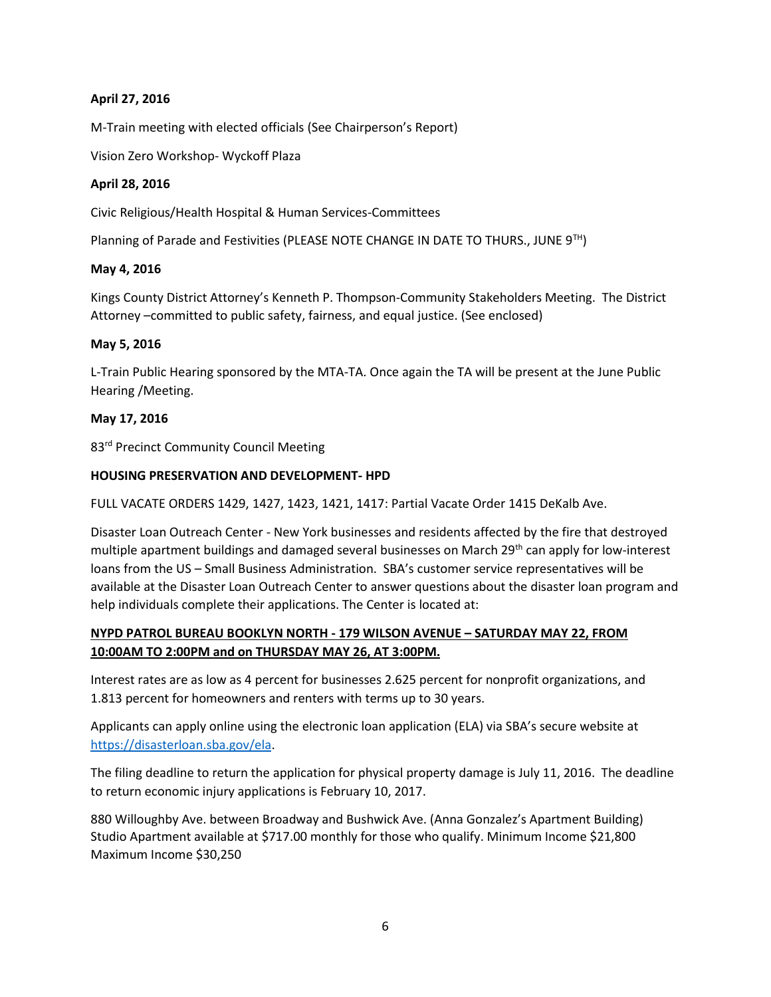## **April 27, 2016**

M-Train meeting with elected officials (See Chairperson's Report)

Vision Zero Workshop- Wyckoff Plaza

## **April 28, 2016**

Civic Religious/Health Hospital & Human Services-Committees

Planning of Parade and Festivities (PLEASE NOTE CHANGE IN DATE TO THURS., JUNE 9<sup>TH</sup>)

### **May 4, 2016**

Kings County District Attorney's Kenneth P. Thompson-Community Stakeholders Meeting. The District Attorney –committed to public safety, fairness, and equal justice. (See enclosed)

### **May 5, 2016**

L-Train Public Hearing sponsored by the MTA-TA. Once again the TA will be present at the June Public Hearing /Meeting.

### **May 17, 2016**

83<sup>rd</sup> Precinct Community Council Meeting

### **HOUSING PRESERVATION AND DEVELOPMENT- HPD**

FULL VACATE ORDERS 1429, 1427, 1423, 1421, 1417: Partial Vacate Order 1415 DeKalb Ave.

Disaster Loan Outreach Center - New York businesses and residents affected by the fire that destroyed multiple apartment buildings and damaged several businesses on March 29<sup>th</sup> can apply for low-interest loans from the US – Small Business Administration. SBA's customer service representatives will be available at the Disaster Loan Outreach Center to answer questions about the disaster loan program and help individuals complete their applications. The Center is located at:

# **NYPD PATROL BUREAU BOOKLYN NORTH - 179 WILSON AVENUE – SATURDAY MAY 22, FROM 10:00AM TO 2:00PM and on THURSDAY MAY 26, AT 3:00PM.**

Interest rates are as low as 4 percent for businesses 2.625 percent for nonprofit organizations, and 1.813 percent for homeowners and renters with terms up to 30 years.

Applicants can apply online using the electronic loan application (ELA) via SBA's secure website at [https://disasterloan.sba.gov/ela.](https://disasterloan.sba.gov/ela)

The filing deadline to return the application for physical property damage is July 11, 2016. The deadline to return economic injury applications is February 10, 2017.

880 Willoughby Ave. between Broadway and Bushwick Ave. (Anna Gonzalez's Apartment Building) Studio Apartment available at \$717.00 monthly for those who qualify. Minimum Income \$21,800 Maximum Income \$30,250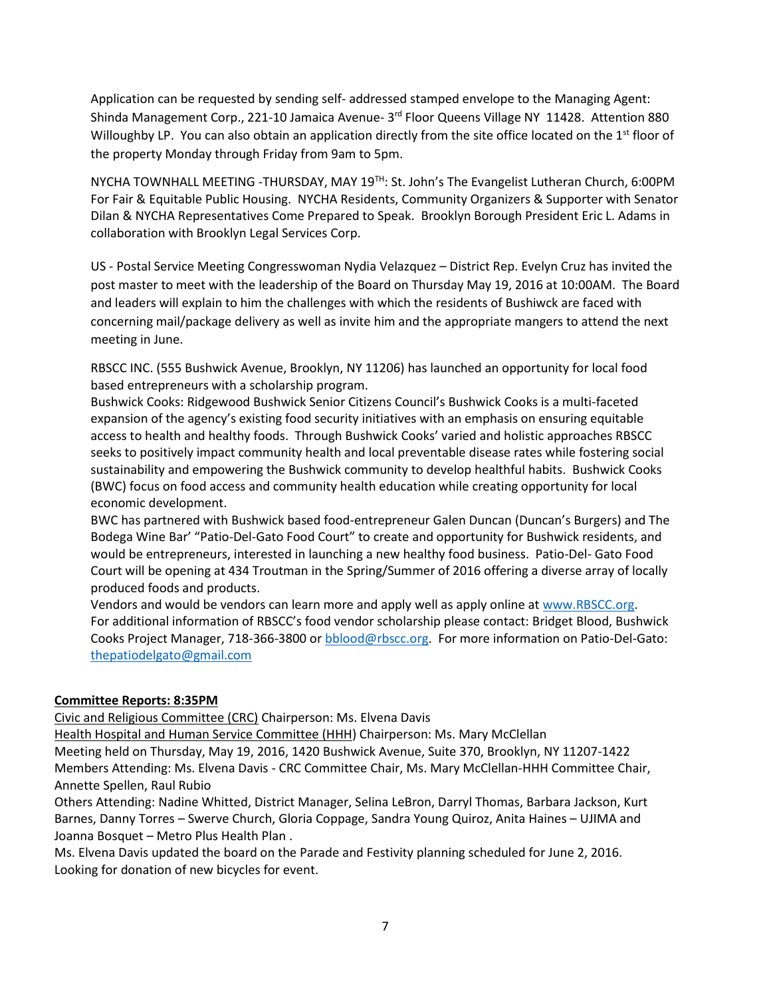Application can be requested by sending self- addressed stamped envelope to the Managing Agent: Shinda Management Corp., 221-10 Jamaica Avenue- 3<sup>rd</sup> Floor Queens Village NY 11428. Attention 880 Willoughby LP. You can also obtain an application directly from the site office located on the 1<sup>st</sup> floor of the property Monday through Friday from 9am to 5pm.

NYCHA TOWNHALL MEETING -THURSDAY, MAY  $19<sup>TH</sup>$ : St. John's The Evangelist Lutheran Church, 6:00PM For Fair & Equitable Public Housing. NYCHA Residents, Community Organizers & Supporter with Senator Dilan & NYCHA Representatives Come Prepared to Speak. Brooklyn Borough President Eric L. Adams in collaboration with Brooklyn Legal Services Corp.

US - Postal Service Meeting Congresswoman Nydia Velazquez – District Rep. Evelyn Cruz has invited the post master to meet with the leadership of the Board on Thursday May 19, 2016 at 10:00AM. The Board and leaders will explain to him the challenges with which the residents of Bushiwck are faced with concerning mail/package delivery as well as invite him and the appropriate mangers to attend the next meeting in June.

RBSCC INC. (555 Bushwick Avenue, Brooklyn, NY 11206) has launched an opportunity for local food based entrepreneurs with a scholarship program.

Bushwick Cooks: Ridgewood Bushwick Senior Citizens Council's Bushwick Cooks is a multi-faceted expansion of the agency's existing food security initiatives with an emphasis on ensuring equitable access to health and healthy foods. Through Bushwick Cooks' varied and holistic approaches RBSCC seeks to positively impact community health and local preventable disease rates while fostering social sustainability and empowering the Bushwick community to develop healthful habits. Bushwick Cooks (BWC) focus on food access and community health education while creating opportunity for local economic development.

BWC has partnered with Bushwick based food-entrepreneur Galen Duncan (Duncan's Burgers) and The Bodega Wine Bar' "Patio-Del-Gato Food Court" to create and opportunity for Bushwick residents, and would be entrepreneurs, interested in launching a new healthy food business. Patio-Del- Gato Food Court will be opening at 434 Troutman in the Spring/Summer of 2016 offering a diverse array of locally produced foods and products.

Vendors and would be vendors can learn more and apply well as apply online at [www.RBSCC.org.](http://www.rbscc.org/) For additional information of RBSCC's food vendor scholarship please contact: Bridget Blood, Bushwick Cooks Project Manager, 718-366-3800 or [bblood@rbscc.org.](mailto:bblood@rbscc.org) For more information on Patio-Del-Gato: [thepatiodelgato@gmail.com](mailto:thepatiodelgato@gmail.com)

#### **Committee Reports: 8:35PM**

Civic and Religious Committee (CRC) Chairperson: Ms. Elvena Davis

Health Hospital and Human Service Committee (HHH) Chairperson: Ms. Mary McClellan

Meeting held on Thursday, May 19, 2016, 1420 Bushwick Avenue, Suite 370, Brooklyn, NY 11207-1422 Members Attending: Ms. Elvena Davis - CRC Committee Chair, Ms. Mary McClellan-HHH Committee Chair, Annette Spellen, Raul Rubio

Others Attending: Nadine Whitted, District Manager, Selina LeBron, Darryl Thomas, Barbara Jackson, Kurt Barnes, Danny Torres – Swerve Church, Gloria Coppage, Sandra Young Quiroz, Anita Haines – UJIMA and Joanna Bosquet – Metro Plus Health Plan .

Ms. Elvena Davis updated the board on the Parade and Festivity planning scheduled for June 2, 2016. Looking for donation of new bicycles for event.